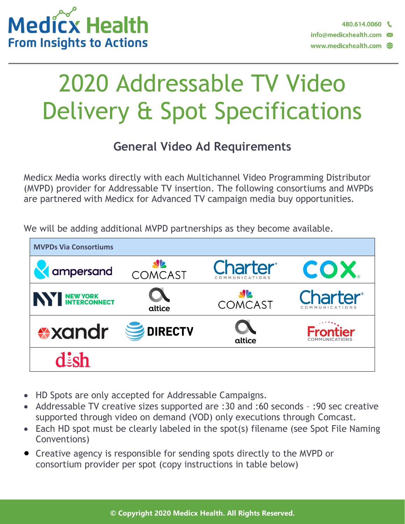

# 2020 Addressable TV Video Delivery & Spot Specifications

#### **General Video Ad Requirements**

Medicx Media works directly with each Multichannel Video Programming Distributor (MVPD) provider for Addressable TV insertion. The following consortiums and MVPDs are partnered with Medicx for Advanced TV campaign media buy opportunities.

We will be adding additional MVPD partnerships as they become available.



- HD Spots are only accepted for Addressable Campaigns.
- Addressable TV creative sizes supported are :30 and :60 seconds :90 sec creative supported through video on demand (VOD) only executions through Comcast.
- Each HD spot must be clearly labeled in the spot(s) filename (see Spot File Naming Conventions)
- Creative agency is responsible for sending spots directly to the MVPD or consortium provider per spot (copy instructions in table below)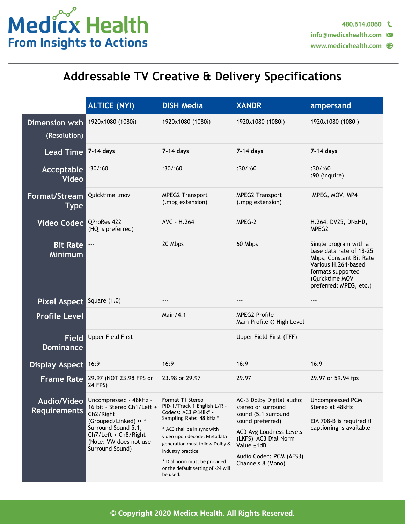

### **Addressable TV Creative & Delivery Specifications**

|                                           | <b>ALTICE (NYI)</b>                                                                                                                                                                                 | <b>DISH Media</b>                                                                                                                                                                                                                                                                                          | <b>XANDR</b>                                                                                                                                                                                                | ampersand                                                                                                                                                           |
|-------------------------------------------|-----------------------------------------------------------------------------------------------------------------------------------------------------------------------------------------------------|------------------------------------------------------------------------------------------------------------------------------------------------------------------------------------------------------------------------------------------------------------------------------------------------------------|-------------------------------------------------------------------------------------------------------------------------------------------------------------------------------------------------------------|---------------------------------------------------------------------------------------------------------------------------------------------------------------------|
| Dimension wxh<br>(Resolution)             | 1920x1080 (1080i)                                                                                                                                                                                   | 1920x1080 (1080i)                                                                                                                                                                                                                                                                                          | 1920x1080 (1080i)                                                                                                                                                                                           | 1920x1080 (1080i)                                                                                                                                                   |
| <b>Lead Time</b>                          | 7-14 days                                                                                                                                                                                           | 7-14 days                                                                                                                                                                                                                                                                                                  | 7-14 days                                                                                                                                                                                                   | 7-14 days                                                                                                                                                           |
| Acceptable<br><b>Video</b>                | :30/160                                                                                                                                                                                             | :30/160                                                                                                                                                                                                                                                                                                    | :30/160                                                                                                                                                                                                     | :30/160<br>:90 (inquire)                                                                                                                                            |
| Format/Stream<br>Type                     | Quicktime .mov                                                                                                                                                                                      | <b>MPEG2 Transport</b><br>(.mpg extension)                                                                                                                                                                                                                                                                 | <b>MPEG2 Transport</b><br>(.mpg extension)                                                                                                                                                                  | MPEG, MOV, MP4                                                                                                                                                      |
| <b>Video Codec</b>                        | QProRes 422<br>(HQ is preferred)                                                                                                                                                                    | AVC - H.264                                                                                                                                                                                                                                                                                                | MPEG-2                                                                                                                                                                                                      | H.264, DV25, DNxHD,<br>MPEG2                                                                                                                                        |
| <b>Bit Rate</b><br><b>Minimum</b>         | $--$                                                                                                                                                                                                | 20 Mbps                                                                                                                                                                                                                                                                                                    | 60 Mbps                                                                                                                                                                                                     | Single program with a<br>base data rate of 18-25<br>Mbps, Constant Bit Rate<br>Various H.264-based<br>formats supported<br>(Quicktime MOV<br>preferred; MPEG, etc.) |
| Pixel Aspect                              | Square $(1.0)$                                                                                                                                                                                      | $---$                                                                                                                                                                                                                                                                                                      | $---$                                                                                                                                                                                                       | $- - -$                                                                                                                                                             |
| <b>Profile Level</b>                      | $--$                                                                                                                                                                                                | Main/4.1                                                                                                                                                                                                                                                                                                   | <b>MPEG2 Profile</b><br>Main Profile @ High Level                                                                                                                                                           | ---                                                                                                                                                                 |
| <b>Field</b><br><b>Dominance</b>          | <b>Upper Field First</b>                                                                                                                                                                            | ---                                                                                                                                                                                                                                                                                                        | Upper Field First (TFF)                                                                                                                                                                                     | ---                                                                                                                                                                 |
| Display Aspect                            | 16:9                                                                                                                                                                                                | 16:9                                                                                                                                                                                                                                                                                                       | 16:9                                                                                                                                                                                                        | 16:9                                                                                                                                                                |
| <b>Frame Rate</b>                         | 29.97 (NOT 23.98 FPS or<br>24 FPS)                                                                                                                                                                  | 23.98 or 29.97                                                                                                                                                                                                                                                                                             | 29.97                                                                                                                                                                                                       | 29.97 or 59.94 fps                                                                                                                                                  |
| <b>Audio/Video</b><br><b>Requirements</b> | Uncompressed - 48kHz -<br>16 bit - Stereo Ch1/Left +<br>Ch <sub>2</sub> /Right<br>(Grouped/Linked) □ If<br>Surround Sound 5.1,<br>Ch7/Left + Ch8/Right<br>(Note: VW does not use<br>Surround Sound) | Format T1 Stereo<br>PID-1/Track 1 English L/R -<br>Codecs: AC3 @348k* -<br>Sampling Rate: 48 kHz *<br>* AC3 shall be in sync with<br>video upon decode. Metadata<br>generation must follow Dolby &<br>industry practice.<br>* Dial norm must be provided<br>or the default setting of -24 will<br>be used. | AC-3 Dolby Digital audio;<br>stereo or surround<br>sound (5.1 surround<br>sound preferred)<br>AC3 Avg Loudness Levels<br>(LKFS)=AC3 Dial Norm<br>Value ±1dB<br>Audio Codec: PCM (AES3)<br>Channels 8 (Mono) | Uncompressed PCM<br>Stereo at 48kHz<br>EIA 708-B is required if<br>captioning is available                                                                          |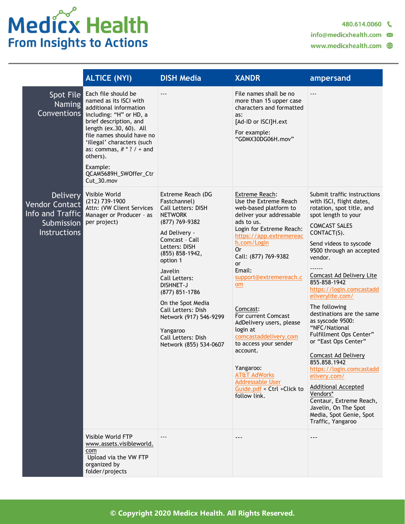## Medicx Health **From Insights to Actions**

480.614.0060

info@medicxhealth.com

|                                                                                            | <b>ALTICE (NYI)</b>                                                                                                                                                                                                                                                                                              | <b>DISH Media</b>                                                                                                                                                                                                                                                                                                                                                                 | <b>XANDR</b>                                                                                                                                                                                                                                                                                                                                                                                                                                                                                                                    | ampersand                                                                                                                                                                                                                                                                                                                                                                                                                                                                                                                                                                                                                                                                                           |
|--------------------------------------------------------------------------------------------|------------------------------------------------------------------------------------------------------------------------------------------------------------------------------------------------------------------------------------------------------------------------------------------------------------------|-----------------------------------------------------------------------------------------------------------------------------------------------------------------------------------------------------------------------------------------------------------------------------------------------------------------------------------------------------------------------------------|---------------------------------------------------------------------------------------------------------------------------------------------------------------------------------------------------------------------------------------------------------------------------------------------------------------------------------------------------------------------------------------------------------------------------------------------------------------------------------------------------------------------------------|-----------------------------------------------------------------------------------------------------------------------------------------------------------------------------------------------------------------------------------------------------------------------------------------------------------------------------------------------------------------------------------------------------------------------------------------------------------------------------------------------------------------------------------------------------------------------------------------------------------------------------------------------------------------------------------------------------|
| Spot File<br><b>Naming</b><br>Conventions                                                  | Each file should be<br>named as its ISCI with<br>additional information<br>including: "H" or HD, a<br>brief description, and<br>length (ex.30, 60). All<br>file names should have no<br>'illegal' characters (such<br>as: commas, $# * ? / *$ and<br>others).<br>Example:<br>QCAM5689H_SWOffer_Ctr<br>Cut_30.mov | $---$                                                                                                                                                                                                                                                                                                                                                                             | File names shall be no<br>more than 15 upper case<br>characters and formatted<br>as:<br>[Ad-ID or ISCI]H.ext<br>For example:<br>"GDMX30DG06H.mov"                                                                                                                                                                                                                                                                                                                                                                               | $---$                                                                                                                                                                                                                                                                                                                                                                                                                                                                                                                                                                                                                                                                                               |
| <b>Delivery</b><br>Vendor Contact<br>Info and Traffic<br>Submission<br><b>Instructions</b> | Visible World<br>(212) 739-1900<br>Attn: (VW Client Services<br>Manager or Producer - as<br>per project)                                                                                                                                                                                                         | Extreme Reach (DG<br>Fastchannel)<br><b>Call Letters: DISH</b><br><b>NETWORK</b><br>(877) 769-9382<br>Ad Delivery -<br>Comcast - Call<br>Letters: DISH<br>(855) 858-1942,<br>option 1<br>Javelin<br>Call Letters:<br>DISHNET-J<br>(877) 851-1786<br>On the Spot Media<br>Call Letters: Dish<br>Network (917) 546-9299<br>Yangaroo<br>Call Letters: Dish<br>Network (855) 534-0607 | <b>Extreme Reach:</b><br>Use the Extreme Reach<br>web-based platform to<br>deliver your addressable<br>ads to us.<br>Login for Extreme Reach:<br>https://app.extremereac<br>h.com/Login<br>0r<br>Call: (877) 769-9382<br>or<br>Email:<br>support@extremereach.c<br>om<br>Comcast:<br>For current Comcast<br>AdDelivery users, please<br>login at<br>comcastaddelivery.com<br>to access your sender<br>account.<br>Yangaroo:<br><b>AT&amp;T AdWorks</b><br><b>Addressable User</b><br>Guide.pdf < Ctrl +Click to<br>follow link. | Submit traffic instructions<br>with ISCI, flight dates,<br>rotation, spot title, and<br>spot length to your<br><b>COMCAST SALES</b><br>CONTACT(S).<br>Send videos to syscode<br>9500 through an accepted<br>vendor.<br><b>Comcast Ad Delivery Lite</b><br>855-858-1942<br>https://login.comcastadd<br>eliverylite.com/<br>The following<br>destinations are the same<br>as syscode 9500:<br>"NFC/National<br>Fulfillment Ops Center"<br>or "East Ops Center"<br><b>Comcast Ad Delivery</b><br>855.858.1942<br>https://login.comcastadd<br>elivery.com/<br><b>Additional Accepted</b><br>Vendors*<br>Centaur, Extreme Reach,<br>Javelin, On The Spot<br>Media, Spot Genie, Spot<br>Traffic, Yangaroo |
|                                                                                            | Visible World FTP<br>www.assets.visibleworld.<br>com<br>Upload via the VW FTP<br>organized by<br>folder/projects                                                                                                                                                                                                 | ---                                                                                                                                                                                                                                                                                                                                                                               |                                                                                                                                                                                                                                                                                                                                                                                                                                                                                                                                 | ---                                                                                                                                                                                                                                                                                                                                                                                                                                                                                                                                                                                                                                                                                                 |